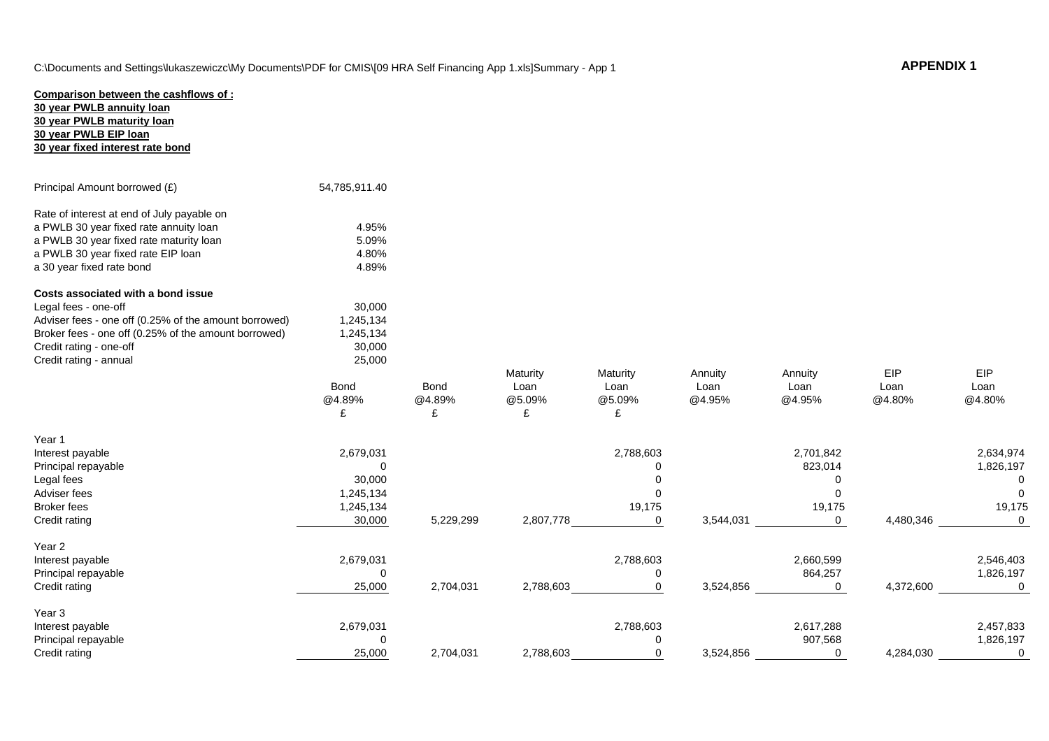| Comparison between the cashflows of:                  |               |             |           |             |           |             |           |             |
|-------------------------------------------------------|---------------|-------------|-----------|-------------|-----------|-------------|-----------|-------------|
| 30 year PWLB annuity loan                             |               |             |           |             |           |             |           |             |
| 30 year PWLB maturity loan                            |               |             |           |             |           |             |           |             |
| 30 year PWLB EIP loan                                 |               |             |           |             |           |             |           |             |
| 30 year fixed interest rate bond                      |               |             |           |             |           |             |           |             |
|                                                       |               |             |           |             |           |             |           |             |
|                                                       |               |             |           |             |           |             |           |             |
| Principal Amount borrowed (£)                         | 54,785,911.40 |             |           |             |           |             |           |             |
| Rate of interest at end of July payable on            |               |             |           |             |           |             |           |             |
| a PWLB 30 year fixed rate annuity loan                | 4.95%         |             |           |             |           |             |           |             |
| a PWLB 30 year fixed rate maturity loan               | 5.09%         |             |           |             |           |             |           |             |
| a PWLB 30 year fixed rate EIP loan                    | 4.80%         |             |           |             |           |             |           |             |
| a 30 year fixed rate bond                             | 4.89%         |             |           |             |           |             |           |             |
|                                                       |               |             |           |             |           |             |           |             |
| Costs associated with a bond issue                    |               |             |           |             |           |             |           |             |
| Legal fees - one-off                                  | 30,000        |             |           |             |           |             |           |             |
| Adviser fees - one off (0.25% of the amount borrowed) | 1,245,134     |             |           |             |           |             |           |             |
| Broker fees - one off (0.25% of the amount borrowed)  | 1,245,134     |             |           |             |           |             |           |             |
| Credit rating - one-off                               | 30,000        |             |           |             |           |             |           |             |
| Credit rating - annual                                | 25,000        |             |           |             |           |             |           |             |
|                                                       |               |             | Maturity  | Maturity    | Annuity   | Annuity     | EIP       | <b>EIP</b>  |
|                                                       | Bond          | <b>Bond</b> | Loan      | Loan        | Loan      | Loan        | Loan      | Loan        |
|                                                       | @4.89%        | @4.89%      | @5.09%    | @5.09%      | @4.95%    | @4.95%      | @4.80%    | @4.80%      |
|                                                       | £             | £           | £         | £           |           |             |           |             |
|                                                       |               |             |           |             |           |             |           |             |
| Year 1                                                |               |             |           |             |           |             |           |             |
| Interest payable                                      | 2,679,031     |             |           | 2,788,603   |           | 2,701,842   |           | 2,634,974   |
| Principal repayable                                   | $\Omega$      |             |           | $\Omega$    |           | 823,014     |           | 1,826,197   |
| Legal fees                                            | 30,000        |             |           | $\Omega$    |           | 0           |           | 0           |
| Adviser fees                                          | 1,245,134     |             |           | $\Omega$    |           | 0           |           | $\Omega$    |
| <b>Broker</b> fees                                    | 1,245,134     |             |           | 19,175      |           | 19,175      |           | 19,175      |
| Credit rating                                         | 30,000        | 5,229,299   | 2,807,778 | $\mathbf 0$ | 3,544,031 | $\mathbf 0$ | 4,480,346 | $\Omega$    |
|                                                       |               |             |           |             |           |             |           |             |
| Year 2                                                |               |             |           |             |           |             |           |             |
| Interest payable                                      | 2,679,031     |             |           | 2,788,603   |           | 2,660,599   |           | 2,546,403   |
| Principal repayable                                   | 0             |             |           | 0           |           | 864,257     |           | 1,826,197   |
| Credit rating                                         | 25,000        | 2,704,031   | 2,788,603 | $\mathbf 0$ | 3,524,856 | $\mathbf 0$ | 4,372,600 | $\mathbf 0$ |
|                                                       |               |             |           |             |           |             |           |             |
| Year 3                                                |               |             |           |             |           |             |           |             |
| Interest payable                                      | 2,679,031     |             |           | 2,788,603   |           | 2,617,288   |           | 2,457,833   |
| Principal repayable                                   | $\mathbf 0$   |             |           | $\Omega$    |           | 907,568     |           | 1,826,197   |
| Credit rating                                         | 25,000        | 2,704,031   | 2,788,603 | $\mathbf 0$ | 3,524,856 | $\mathbf 0$ | 4,284,030 | 0           |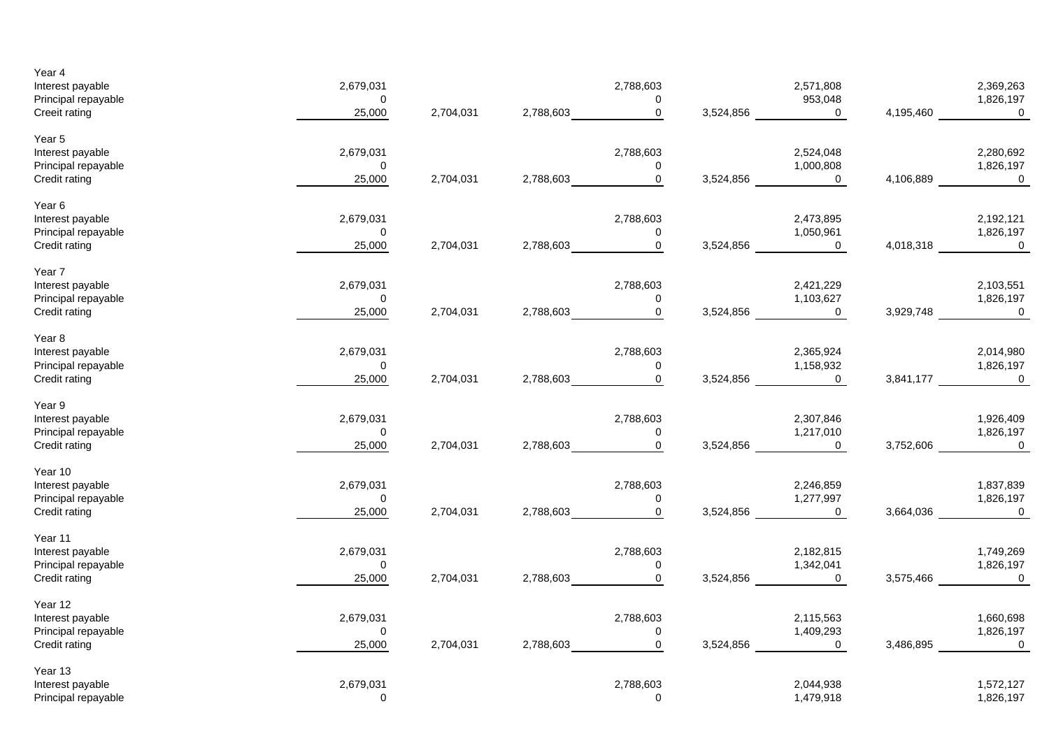| Year 4<br>Interest payable<br>Principal repayable<br>Creeit rating            | 2,679,031<br>$\mathbf 0$<br>25,000 | 2,704,031 | 2,788,603 | 2,788,603<br>0<br>$\mathbf 0$           | 3,524,856 | 2,571,808<br>953,048<br>$\mathbf 0$      | 4,195,460 | 2,369,263<br>1,826,197<br>$\overline{0}$ |
|-------------------------------------------------------------------------------|------------------------------------|-----------|-----------|-----------------------------------------|-----------|------------------------------------------|-----------|------------------------------------------|
| Year 5<br>Interest payable<br>Principal repayable<br>Credit rating            | 2,679,031<br>$\mathbf 0$<br>25,000 | 2,704,031 | 2,788,603 | 2,788,603<br>0<br>$\mathbf 0$           | 3,524,856 | 2,524,048<br>1,000,808<br>$\overline{0}$ | 4,106,889 | 2,280,692<br>1,826,197<br>$\overline{0}$ |
| Year 6<br>Interest payable<br>Principal repayable<br>Credit rating            | 2,679,031<br>$\pmb{0}$<br>25,000   | 2,704,031 | 2,788,603 | 2,788,603<br>0<br>$\mathbf 0$           | 3,524,856 | 2,473,895<br>1,050,961<br>$\mathbf 0$    | 4,018,318 | 2,192,121<br>1,826,197<br>$\overline{0}$ |
| Year 7<br>Interest payable<br>Principal repayable<br>Credit rating            | 2,679,031<br>$\mathbf 0$<br>25,000 | 2,704,031 | 2,788,603 | 2,788,603<br>$\mathbf 0$<br>$\mathbf 0$ | 3,524,856 | 2,421,229<br>1,103,627<br>$\mathbf{0}$   | 3,929,748 | 2,103,551<br>1,826,197<br>$\mathbf 0$    |
| Year <sub>8</sub><br>Interest payable<br>Principal repayable<br>Credit rating | 2,679,031<br>0<br>25,000           | 2,704,031 | 2,788,603 | 2,788,603<br>0<br>$\mathbf 0$           | 3,524,856 | 2,365,924<br>1,158,932<br>$\overline{0}$ | 3,841,177 | 2,014,980<br>1,826,197<br>$\mathbf 0$    |
| Year 9<br>Interest payable<br>Principal repayable<br>Credit rating            | 2,679,031<br>$\pmb{0}$<br>25,000   | 2,704,031 | 2,788,603 | 2,788,603<br>0<br>$\mathbf 0$           | 3,524,856 | 2,307,846<br>1,217,010<br>$\mathbf 0$    | 3,752,606 | 1,926,409<br>1,826,197<br>$\overline{0}$ |
| Year 10<br>Interest payable<br>Principal repayable<br>Credit rating           | 2,679,031<br>$\mathbf 0$<br>25,000 | 2,704,031 | 2,788,603 | 2,788,603<br>$\mathbf 0$<br>$\mathbf 0$ | 3,524,856 | 2,246,859<br>1,277,997<br>$\overline{0}$ | 3,664,036 | 1,837,839<br>1,826,197<br>$\mathbf 0$    |
| Year 11<br>Interest payable<br>Principal repayable<br>Credit rating           | 2,679,031<br>$\mathbf 0$<br>25,000 | 2,704,031 | 2,788,603 | 2,788,603<br>$\mathbf 0$<br>$\mathbf 0$ | 3,524,856 | 2,182,815<br>1,342,041<br>$\mathbf 0$    | 3,575,466 | 1,749,269<br>1,826,197<br>$\overline{0}$ |
| Year 12<br>Interest payable<br>Principal repayable<br>Credit rating           | 2,679,031<br>$\mathbf 0$<br>25,000 | 2,704,031 | 2,788,603 | 2,788,603<br>0<br>$\mathbf 0$           | 3,524,856 | 2,115,563<br>1,409,293<br>$\mathsf 0$    | 3,486,895 | 1,660,698<br>1,826,197<br>$\overline{a}$ |
| Year 13<br>Interest payable<br>Principal repayable                            | 2,679,031<br>$\mathbf 0$           |           |           | 2,788,603<br>0                          |           | 2,044,938<br>1,479,918                   |           | 1,572,127<br>1,826,197                   |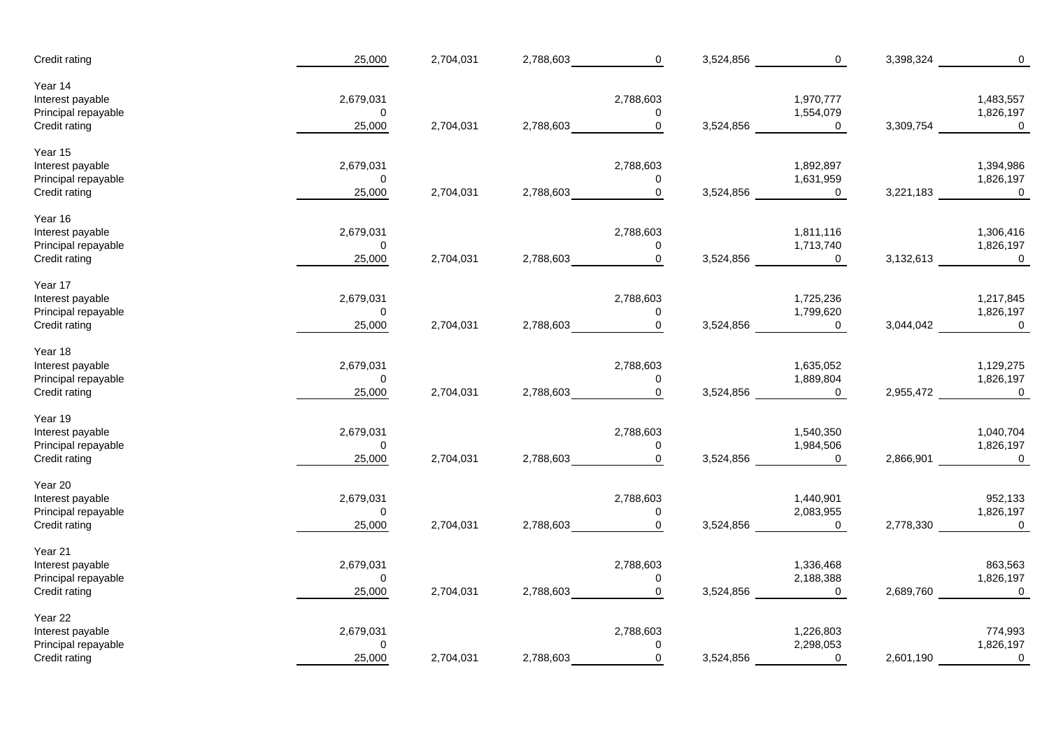| Year 14<br>2,679,031<br>2,788,603<br>1,970,777<br>1,483,557<br>Principal repayable<br>$\mathbf 0$<br>1,554,079<br>1,826,197<br>0<br>$\mathbf 0$<br>Credit rating<br>25,000<br>2,704,031<br>2,788,603<br>3,524,856<br>0<br>3,309,754<br>$\boldsymbol{0}$<br>Year 15<br>2,679,031<br>2,788,603<br>1,892,897<br>1,394,986<br>Interest payable<br>Principal repayable<br>$\mathbf 0$<br>0<br>1,631,959<br>1,826,197<br>Credit rating<br>2,704,031<br>$\mathbf 0$<br>25,000<br>2,788,603<br>3,524,856<br>0<br>3,221,183<br>$\boldsymbol{0}$<br>Year 16<br>2,679,031<br>2,788,603<br>1,811,116<br>1,306,416<br>Interest payable<br>Principal repayable<br>1,713,740<br>1,826,197<br>$\mathbf 0$<br>0<br>2,704,031<br>2,788,603<br>$\mathbf 0$<br>Credit rating<br>25,000<br>3,524,856<br>0<br>3,132,613<br>$\boldsymbol{0}$<br>Year 17<br>2,679,031<br>2,788,603<br>1,725,236<br>1,217,845<br>Interest payable<br>Principal repayable<br>$\pmb{0}$<br>1,799,620<br>1,826,197<br>$\mathbf 0$<br>$\mathbf 0$<br>Credit rating<br>25,000<br>2,704,031<br>2,788,603<br>3,524,856<br>$\mathbf 0$<br>3,044,042<br>$\mathbf 0$<br>Year 18<br>2,679,031<br>2,788,603<br>1,635,052<br>1,129,275<br>Interest payable<br>1,889,804<br>1,826,197<br>Principal repayable<br>$\mathbf 0$<br>0<br>$\pmb{0}$<br>25,000<br>2,704,031<br>2,788,603<br>3,524,856<br>$\mathbf 0$<br>2,955,472<br>$\overline{\phantom{0}}$<br>Credit rating<br>Year 19<br>2,679,031<br>2,788,603<br>1,540,350<br>1,040,704<br>Interest payable<br>1,984,506<br>1,826,197<br>Principal repayable<br>$\mathbf 0$<br>0<br>$\mathbf 0$<br>25,000<br>2,704,031<br>2,788,603<br>3,524,856<br>$\overline{0}$<br>2,866,901<br>$\mathbf 0$<br>Credit rating<br>Year 20<br>2,679,031<br>2,788,603<br>1,440,901<br>952,133<br>Interest payable<br>Principal repayable<br>2,083,955<br>1,826,197<br>$\pmb{0}$<br>0<br>$\mathbf 0$<br>25,000<br>2,704,031<br>2,788,603<br>2,778,330<br>$\mathbf 0$<br>Credit rating<br>3,524,856<br>$\mathbf 0$<br>Year 21<br>Interest payable<br>2,679,031<br>2,788,603<br>1,336,468<br>863,563<br>Principal repayable<br>2,188,388<br>1,826,197<br>$\mathbf 0$<br>0<br>$\overline{a}$<br>3,524,856<br>$\overline{0}$<br>2,689,760<br>$\overline{\mathbf{0}}$<br>Credit rating<br>25,000<br>2,704,031<br>2,788,603<br>Year 22<br>2,679,031<br>2,788,603<br>1,226,803<br>774,993<br>Interest payable<br>Principal repayable<br>2,298,053<br>1,826,197<br>$\mathbf 0$<br>$\Omega$<br>$\mathbf 0$<br>Credit rating<br>25,000<br>2,704,031<br>2,788,603<br>3,524,856<br>2,601,190<br>$\mathbf 0$<br>0 | Credit rating    | 25,000 | 2,704,031 | 2,788,603 | $\mathbf 0$ | 3,524,856 | $\mathsf{O}\xspace$ | 3,398,324 | $\mathbf 0$ |
|----------------------------------------------------------------------------------------------------------------------------------------------------------------------------------------------------------------------------------------------------------------------------------------------------------------------------------------------------------------------------------------------------------------------------------------------------------------------------------------------------------------------------------------------------------------------------------------------------------------------------------------------------------------------------------------------------------------------------------------------------------------------------------------------------------------------------------------------------------------------------------------------------------------------------------------------------------------------------------------------------------------------------------------------------------------------------------------------------------------------------------------------------------------------------------------------------------------------------------------------------------------------------------------------------------------------------------------------------------------------------------------------------------------------------------------------------------------------------------------------------------------------------------------------------------------------------------------------------------------------------------------------------------------------------------------------------------------------------------------------------------------------------------------------------------------------------------------------------------------------------------------------------------------------------------------------------------------------------------------------------------------------------------------------------------------------------------------------------------------------------------------------------------------------------------------------------------------------------------------------------------------------------------------------------------------------------------------------------------------------------------------------------------------------------------------------------------------------------------------------------------------------------------------------------------------------------|------------------|--------|-----------|-----------|-------------|-----------|---------------------|-----------|-------------|
|                                                                                                                                                                                                                                                                                                                                                                                                                                                                                                                                                                                                                                                                                                                                                                                                                                                                                                                                                                                                                                                                                                                                                                                                                                                                                                                                                                                                                                                                                                                                                                                                                                                                                                                                                                                                                                                                                                                                                                                                                                                                                                                                                                                                                                                                                                                                                                                                                                                                                                                                                                            | Interest payable |        |           |           |             |           |                     |           |             |
|                                                                                                                                                                                                                                                                                                                                                                                                                                                                                                                                                                                                                                                                                                                                                                                                                                                                                                                                                                                                                                                                                                                                                                                                                                                                                                                                                                                                                                                                                                                                                                                                                                                                                                                                                                                                                                                                                                                                                                                                                                                                                                                                                                                                                                                                                                                                                                                                                                                                                                                                                                            |                  |        |           |           |             |           |                     |           |             |
|                                                                                                                                                                                                                                                                                                                                                                                                                                                                                                                                                                                                                                                                                                                                                                                                                                                                                                                                                                                                                                                                                                                                                                                                                                                                                                                                                                                                                                                                                                                                                                                                                                                                                                                                                                                                                                                                                                                                                                                                                                                                                                                                                                                                                                                                                                                                                                                                                                                                                                                                                                            |                  |        |           |           |             |           |                     |           |             |
|                                                                                                                                                                                                                                                                                                                                                                                                                                                                                                                                                                                                                                                                                                                                                                                                                                                                                                                                                                                                                                                                                                                                                                                                                                                                                                                                                                                                                                                                                                                                                                                                                                                                                                                                                                                                                                                                                                                                                                                                                                                                                                                                                                                                                                                                                                                                                                                                                                                                                                                                                                            |                  |        |           |           |             |           |                     |           |             |
|                                                                                                                                                                                                                                                                                                                                                                                                                                                                                                                                                                                                                                                                                                                                                                                                                                                                                                                                                                                                                                                                                                                                                                                                                                                                                                                                                                                                                                                                                                                                                                                                                                                                                                                                                                                                                                                                                                                                                                                                                                                                                                                                                                                                                                                                                                                                                                                                                                                                                                                                                                            |                  |        |           |           |             |           |                     |           |             |
|                                                                                                                                                                                                                                                                                                                                                                                                                                                                                                                                                                                                                                                                                                                                                                                                                                                                                                                                                                                                                                                                                                                                                                                                                                                                                                                                                                                                                                                                                                                                                                                                                                                                                                                                                                                                                                                                                                                                                                                                                                                                                                                                                                                                                                                                                                                                                                                                                                                                                                                                                                            |                  |        |           |           |             |           |                     |           |             |
|                                                                                                                                                                                                                                                                                                                                                                                                                                                                                                                                                                                                                                                                                                                                                                                                                                                                                                                                                                                                                                                                                                                                                                                                                                                                                                                                                                                                                                                                                                                                                                                                                                                                                                                                                                                                                                                                                                                                                                                                                                                                                                                                                                                                                                                                                                                                                                                                                                                                                                                                                                            |                  |        |           |           |             |           |                     |           |             |
|                                                                                                                                                                                                                                                                                                                                                                                                                                                                                                                                                                                                                                                                                                                                                                                                                                                                                                                                                                                                                                                                                                                                                                                                                                                                                                                                                                                                                                                                                                                                                                                                                                                                                                                                                                                                                                                                                                                                                                                                                                                                                                                                                                                                                                                                                                                                                                                                                                                                                                                                                                            |                  |        |           |           |             |           |                     |           |             |
|                                                                                                                                                                                                                                                                                                                                                                                                                                                                                                                                                                                                                                                                                                                                                                                                                                                                                                                                                                                                                                                                                                                                                                                                                                                                                                                                                                                                                                                                                                                                                                                                                                                                                                                                                                                                                                                                                                                                                                                                                                                                                                                                                                                                                                                                                                                                                                                                                                                                                                                                                                            |                  |        |           |           |             |           |                     |           |             |
|                                                                                                                                                                                                                                                                                                                                                                                                                                                                                                                                                                                                                                                                                                                                                                                                                                                                                                                                                                                                                                                                                                                                                                                                                                                                                                                                                                                                                                                                                                                                                                                                                                                                                                                                                                                                                                                                                                                                                                                                                                                                                                                                                                                                                                                                                                                                                                                                                                                                                                                                                                            |                  |        |           |           |             |           |                     |           |             |
|                                                                                                                                                                                                                                                                                                                                                                                                                                                                                                                                                                                                                                                                                                                                                                                                                                                                                                                                                                                                                                                                                                                                                                                                                                                                                                                                                                                                                                                                                                                                                                                                                                                                                                                                                                                                                                                                                                                                                                                                                                                                                                                                                                                                                                                                                                                                                                                                                                                                                                                                                                            |                  |        |           |           |             |           |                     |           |             |
|                                                                                                                                                                                                                                                                                                                                                                                                                                                                                                                                                                                                                                                                                                                                                                                                                                                                                                                                                                                                                                                                                                                                                                                                                                                                                                                                                                                                                                                                                                                                                                                                                                                                                                                                                                                                                                                                                                                                                                                                                                                                                                                                                                                                                                                                                                                                                                                                                                                                                                                                                                            |                  |        |           |           |             |           |                     |           |             |
|                                                                                                                                                                                                                                                                                                                                                                                                                                                                                                                                                                                                                                                                                                                                                                                                                                                                                                                                                                                                                                                                                                                                                                                                                                                                                                                                                                                                                                                                                                                                                                                                                                                                                                                                                                                                                                                                                                                                                                                                                                                                                                                                                                                                                                                                                                                                                                                                                                                                                                                                                                            |                  |        |           |           |             |           |                     |           |             |
|                                                                                                                                                                                                                                                                                                                                                                                                                                                                                                                                                                                                                                                                                                                                                                                                                                                                                                                                                                                                                                                                                                                                                                                                                                                                                                                                                                                                                                                                                                                                                                                                                                                                                                                                                                                                                                                                                                                                                                                                                                                                                                                                                                                                                                                                                                                                                                                                                                                                                                                                                                            |                  |        |           |           |             |           |                     |           |             |
|                                                                                                                                                                                                                                                                                                                                                                                                                                                                                                                                                                                                                                                                                                                                                                                                                                                                                                                                                                                                                                                                                                                                                                                                                                                                                                                                                                                                                                                                                                                                                                                                                                                                                                                                                                                                                                                                                                                                                                                                                                                                                                                                                                                                                                                                                                                                                                                                                                                                                                                                                                            |                  |        |           |           |             |           |                     |           |             |
|                                                                                                                                                                                                                                                                                                                                                                                                                                                                                                                                                                                                                                                                                                                                                                                                                                                                                                                                                                                                                                                                                                                                                                                                                                                                                                                                                                                                                                                                                                                                                                                                                                                                                                                                                                                                                                                                                                                                                                                                                                                                                                                                                                                                                                                                                                                                                                                                                                                                                                                                                                            |                  |        |           |           |             |           |                     |           |             |
|                                                                                                                                                                                                                                                                                                                                                                                                                                                                                                                                                                                                                                                                                                                                                                                                                                                                                                                                                                                                                                                                                                                                                                                                                                                                                                                                                                                                                                                                                                                                                                                                                                                                                                                                                                                                                                                                                                                                                                                                                                                                                                                                                                                                                                                                                                                                                                                                                                                                                                                                                                            |                  |        |           |           |             |           |                     |           |             |
|                                                                                                                                                                                                                                                                                                                                                                                                                                                                                                                                                                                                                                                                                                                                                                                                                                                                                                                                                                                                                                                                                                                                                                                                                                                                                                                                                                                                                                                                                                                                                                                                                                                                                                                                                                                                                                                                                                                                                                                                                                                                                                                                                                                                                                                                                                                                                                                                                                                                                                                                                                            |                  |        |           |           |             |           |                     |           |             |
|                                                                                                                                                                                                                                                                                                                                                                                                                                                                                                                                                                                                                                                                                                                                                                                                                                                                                                                                                                                                                                                                                                                                                                                                                                                                                                                                                                                                                                                                                                                                                                                                                                                                                                                                                                                                                                                                                                                                                                                                                                                                                                                                                                                                                                                                                                                                                                                                                                                                                                                                                                            |                  |        |           |           |             |           |                     |           |             |
|                                                                                                                                                                                                                                                                                                                                                                                                                                                                                                                                                                                                                                                                                                                                                                                                                                                                                                                                                                                                                                                                                                                                                                                                                                                                                                                                                                                                                                                                                                                                                                                                                                                                                                                                                                                                                                                                                                                                                                                                                                                                                                                                                                                                                                                                                                                                                                                                                                                                                                                                                                            |                  |        |           |           |             |           |                     |           |             |
|                                                                                                                                                                                                                                                                                                                                                                                                                                                                                                                                                                                                                                                                                                                                                                                                                                                                                                                                                                                                                                                                                                                                                                                                                                                                                                                                                                                                                                                                                                                                                                                                                                                                                                                                                                                                                                                                                                                                                                                                                                                                                                                                                                                                                                                                                                                                                                                                                                                                                                                                                                            |                  |        |           |           |             |           |                     |           |             |
|                                                                                                                                                                                                                                                                                                                                                                                                                                                                                                                                                                                                                                                                                                                                                                                                                                                                                                                                                                                                                                                                                                                                                                                                                                                                                                                                                                                                                                                                                                                                                                                                                                                                                                                                                                                                                                                                                                                                                                                                                                                                                                                                                                                                                                                                                                                                                                                                                                                                                                                                                                            |                  |        |           |           |             |           |                     |           |             |
|                                                                                                                                                                                                                                                                                                                                                                                                                                                                                                                                                                                                                                                                                                                                                                                                                                                                                                                                                                                                                                                                                                                                                                                                                                                                                                                                                                                                                                                                                                                                                                                                                                                                                                                                                                                                                                                                                                                                                                                                                                                                                                                                                                                                                                                                                                                                                                                                                                                                                                                                                                            |                  |        |           |           |             |           |                     |           |             |
|                                                                                                                                                                                                                                                                                                                                                                                                                                                                                                                                                                                                                                                                                                                                                                                                                                                                                                                                                                                                                                                                                                                                                                                                                                                                                                                                                                                                                                                                                                                                                                                                                                                                                                                                                                                                                                                                                                                                                                                                                                                                                                                                                                                                                                                                                                                                                                                                                                                                                                                                                                            |                  |        |           |           |             |           |                     |           |             |
|                                                                                                                                                                                                                                                                                                                                                                                                                                                                                                                                                                                                                                                                                                                                                                                                                                                                                                                                                                                                                                                                                                                                                                                                                                                                                                                                                                                                                                                                                                                                                                                                                                                                                                                                                                                                                                                                                                                                                                                                                                                                                                                                                                                                                                                                                                                                                                                                                                                                                                                                                                            |                  |        |           |           |             |           |                     |           |             |
|                                                                                                                                                                                                                                                                                                                                                                                                                                                                                                                                                                                                                                                                                                                                                                                                                                                                                                                                                                                                                                                                                                                                                                                                                                                                                                                                                                                                                                                                                                                                                                                                                                                                                                                                                                                                                                                                                                                                                                                                                                                                                                                                                                                                                                                                                                                                                                                                                                                                                                                                                                            |                  |        |           |           |             |           |                     |           |             |
|                                                                                                                                                                                                                                                                                                                                                                                                                                                                                                                                                                                                                                                                                                                                                                                                                                                                                                                                                                                                                                                                                                                                                                                                                                                                                                                                                                                                                                                                                                                                                                                                                                                                                                                                                                                                                                                                                                                                                                                                                                                                                                                                                                                                                                                                                                                                                                                                                                                                                                                                                                            |                  |        |           |           |             |           |                     |           |             |
|                                                                                                                                                                                                                                                                                                                                                                                                                                                                                                                                                                                                                                                                                                                                                                                                                                                                                                                                                                                                                                                                                                                                                                                                                                                                                                                                                                                                                                                                                                                                                                                                                                                                                                                                                                                                                                                                                                                                                                                                                                                                                                                                                                                                                                                                                                                                                                                                                                                                                                                                                                            |                  |        |           |           |             |           |                     |           |             |
|                                                                                                                                                                                                                                                                                                                                                                                                                                                                                                                                                                                                                                                                                                                                                                                                                                                                                                                                                                                                                                                                                                                                                                                                                                                                                                                                                                                                                                                                                                                                                                                                                                                                                                                                                                                                                                                                                                                                                                                                                                                                                                                                                                                                                                                                                                                                                                                                                                                                                                                                                                            |                  |        |           |           |             |           |                     |           |             |
|                                                                                                                                                                                                                                                                                                                                                                                                                                                                                                                                                                                                                                                                                                                                                                                                                                                                                                                                                                                                                                                                                                                                                                                                                                                                                                                                                                                                                                                                                                                                                                                                                                                                                                                                                                                                                                                                                                                                                                                                                                                                                                                                                                                                                                                                                                                                                                                                                                                                                                                                                                            |                  |        |           |           |             |           |                     |           |             |
|                                                                                                                                                                                                                                                                                                                                                                                                                                                                                                                                                                                                                                                                                                                                                                                                                                                                                                                                                                                                                                                                                                                                                                                                                                                                                                                                                                                                                                                                                                                                                                                                                                                                                                                                                                                                                                                                                                                                                                                                                                                                                                                                                                                                                                                                                                                                                                                                                                                                                                                                                                            |                  |        |           |           |             |           |                     |           |             |
|                                                                                                                                                                                                                                                                                                                                                                                                                                                                                                                                                                                                                                                                                                                                                                                                                                                                                                                                                                                                                                                                                                                                                                                                                                                                                                                                                                                                                                                                                                                                                                                                                                                                                                                                                                                                                                                                                                                                                                                                                                                                                                                                                                                                                                                                                                                                                                                                                                                                                                                                                                            |                  |        |           |           |             |           |                     |           |             |
|                                                                                                                                                                                                                                                                                                                                                                                                                                                                                                                                                                                                                                                                                                                                                                                                                                                                                                                                                                                                                                                                                                                                                                                                                                                                                                                                                                                                                                                                                                                                                                                                                                                                                                                                                                                                                                                                                                                                                                                                                                                                                                                                                                                                                                                                                                                                                                                                                                                                                                                                                                            |                  |        |           |           |             |           |                     |           |             |
|                                                                                                                                                                                                                                                                                                                                                                                                                                                                                                                                                                                                                                                                                                                                                                                                                                                                                                                                                                                                                                                                                                                                                                                                                                                                                                                                                                                                                                                                                                                                                                                                                                                                                                                                                                                                                                                                                                                                                                                                                                                                                                                                                                                                                                                                                                                                                                                                                                                                                                                                                                            |                  |        |           |           |             |           |                     |           |             |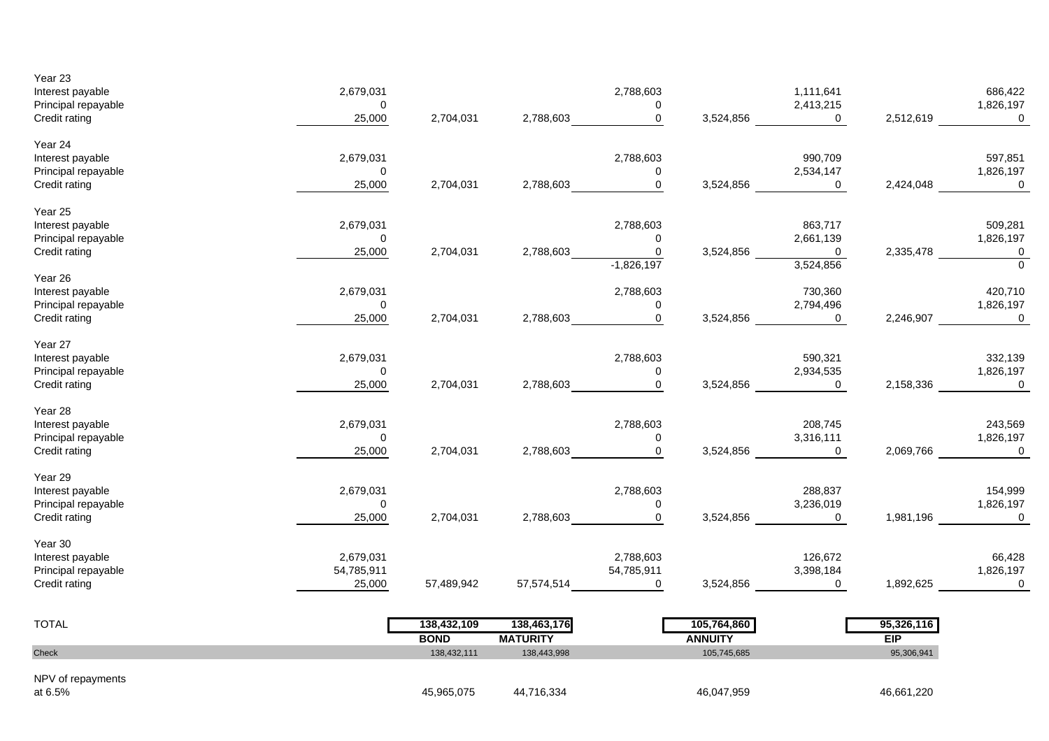| NPV of repayments                                                   |                                    |                            |                                |                                               |                               |                                                     |                          |                                                 |
|---------------------------------------------------------------------|------------------------------------|----------------------------|--------------------------------|-----------------------------------------------|-------------------------------|-----------------------------------------------------|--------------------------|-------------------------------------------------|
| Check                                                               |                                    | 138,432,111                | 138,443,998                    |                                               | 105,745,685                   |                                                     | 95,306,941               |                                                 |
| <b>TOTAL</b>                                                        |                                    | 138,432,109<br><b>BOND</b> | 138,463,176<br><b>MATURITY</b> |                                               | 105,764,860<br><b>ANNUITY</b> |                                                     | 95,326,116<br><b>EIP</b> |                                                 |
| Credit rating                                                       | 25,000                             | 57,489,942                 | 57,574,514                     | $\overline{0}$                                | 3,524,856                     | $\overline{0}$                                      | 1,892,625                | $\mathbf 0$                                     |
| Year 30<br>Interest payable<br>Principal repayable                  | 2,679,031<br>54,785,911            |                            |                                | 2,788,603<br>54,785,911                       |                               | 126,672<br>3,398,184                                |                          | 66,428<br>1,826,197                             |
| Year 29<br>Interest payable<br>Principal repayable<br>Credit rating | 2,679,031<br>$\mathbf 0$<br>25,000 | 2,704,031                  | 2,788,603                      | 2,788,603<br>$\mathbf 0$<br>$\mathbf 0$       | 3,524,856                     | 288,837<br>3,236,019<br>$\mathbf 0$                 | 1,981,196                | 154,999<br>1,826,197<br>$\mathbf 0$             |
| Year 28<br>Interest payable<br>Principal repayable<br>Credit rating | 2,679,031<br>$\pmb{0}$<br>25,000   | 2,704,031                  | 2,788,603                      | 2,788,603<br>0<br>$\overline{0}$              | 3,524,856                     | 208,745<br>3,316,111<br>$\overline{0}$              | 2,069,766                | 243,569<br>1,826,197<br>$\mathbf 0$             |
| Year 27<br>Interest payable<br>Principal repayable<br>Credit rating | 2,679,031<br>$\mathbf 0$<br>25,000 | 2,704,031                  |                                | 2,788,603<br>$\mathbf 0$<br>2,788,603 0       | 3,524,856                     | 590,321<br>2,934,535<br>$\mathbf 0$                 | 2,158,336                | 332,139<br>1,826,197                            |
| Year 26<br>Interest payable<br>Principal repayable<br>Credit rating | 2,679,031<br>0<br>25,000           | 2,704,031                  | 2,788,603                      | 2,788,603<br>0<br>$\overline{0}$              | 3,524,856                     | 730,360<br>2,794,496<br>$\Omega$                    | 2,246,907                | 420,710<br>1,826,197<br>$\mathbf 0$             |
| Year 25<br>Interest payable<br>Principal repayable<br>Credit rating | 2,679,031<br>0<br>25,000           | 2,704,031                  | 2,788,603                      | 2,788,603<br>0<br>$\mathbf 0$<br>$-1,826,197$ | 3,524,856                     | 863,717<br>2,661,139<br>$\overline{0}$<br>3,524,856 | 2,335,478                | 509,281<br>1,826,197<br>$\overline{0}$          |
| Year 24<br>Interest payable<br>Principal repayable<br>Credit rating | 2,679,031<br>$\pmb{0}$<br>25,000   | 2,704,031                  | 2,788,603                      | 2,788,603<br>$\mathbf 0$<br>$\mathbf 0$       | 3,524,856                     | 990,709<br>2,534,147<br>$\mathbf 0$                 | 2,424,048                | 597,851<br>1,826,197<br>$\overline{\mathbf{0}}$ |
| Year 23<br>Interest payable<br>Principal repayable<br>Credit rating | 2,679,031<br>$\mathbf 0$<br>25,000 | 2,704,031                  | 2,788,603                      | 2,788,603<br>0<br>$\mathbf 0$                 | 3,524,856                     | 1,111,641<br>2,413,215<br>$\overline{0}$            | 2,512,619                | 686,422<br>1,826,197<br>$\mathbf 0$             |

45,965,075 44,716,334 46,047,959 46,661,220

at 6.5%